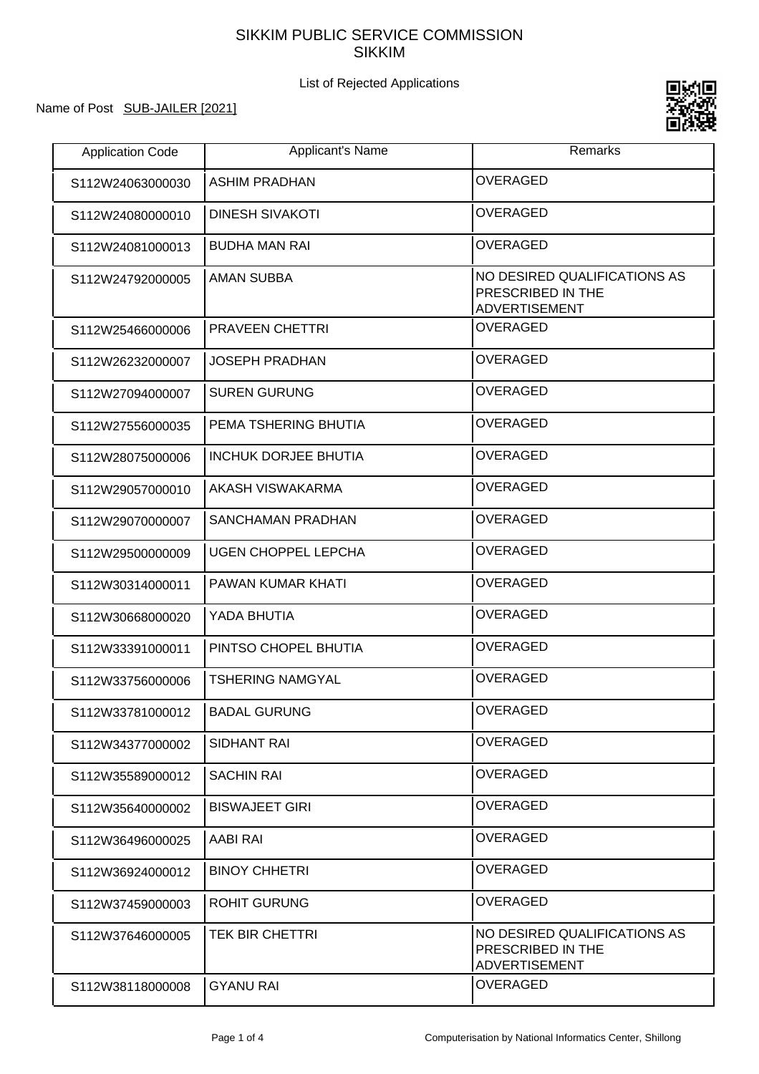## SIKKIM PUBLIC SERVICE COMMISSION SIKKIM

## List of Rejected Applications

## Name of Post SUB-JAILER [2021]



| <b>Application Code</b> | <b>Applicant's Name</b>     | Remarks                                                                   |
|-------------------------|-----------------------------|---------------------------------------------------------------------------|
| S112W24063000030        | <b>ASHIM PRADHAN</b>        | <b>OVERAGED</b>                                                           |
| S112W24080000010        | <b>DINESH SIVAKOTI</b>      | <b>OVERAGED</b>                                                           |
| S112W24081000013        | <b>BUDHA MAN RAI</b>        | <b>OVERAGED</b>                                                           |
| S112W24792000005        | <b>AMAN SUBBA</b>           | NO DESIRED QUALIFICATIONS AS<br>PRESCRIBED IN THE<br><b>ADVERTISEMENT</b> |
| S112W25466000006        | <b>PRAVEEN CHETTRI</b>      | <b>OVERAGED</b>                                                           |
| S112W26232000007        | <b>JOSEPH PRADHAN</b>       | <b>OVERAGED</b>                                                           |
| S112W27094000007        | <b>SUREN GURUNG</b>         | <b>OVERAGED</b>                                                           |
| S112W27556000035        | PEMA TSHERING BHUTIA        | <b>OVERAGED</b>                                                           |
| S112W28075000006        | <b>INCHUK DORJEE BHUTIA</b> | <b>OVERAGED</b>                                                           |
| S112W29057000010        | AKASH VISWAKARMA            | <b>OVERAGED</b>                                                           |
| S112W29070000007        | <b>SANCHAMAN PRADHAN</b>    | <b>OVERAGED</b>                                                           |
| S112W29500000009        | <b>UGEN CHOPPEL LEPCHA</b>  | <b>OVERAGED</b>                                                           |
| S112W30314000011        | PAWAN KUMAR KHATI           | <b>OVERAGED</b>                                                           |
| S112W30668000020        | YADA BHUTIA                 | <b>OVERAGED</b>                                                           |
| S112W33391000011        | PINTSO CHOPEL BHUTIA        | <b>OVERAGED</b>                                                           |
| S112W33756000006        | <b>TSHERING NAMGYAL</b>     | <b>OVERAGED</b>                                                           |
| S112W33781000012        | <b>BADAL GURUNG</b>         | <b>OVERAGED</b>                                                           |
| S112W34377000002        | SIDHANT RAI                 | <b>OVERAGED</b>                                                           |
| S112W35589000012        | <b>SACHIN RAI</b>           | <b>OVERAGED</b>                                                           |
| S112W35640000002        | <b>BISWAJEET GIRI</b>       | <b>OVERAGED</b>                                                           |
| S112W36496000025        | AABI RAI                    | <b>OVERAGED</b>                                                           |
| S112W36924000012        | <b>BINOY CHHETRI</b>        | <b>OVERAGED</b>                                                           |
| S112W37459000003        | <b>ROHIT GURUNG</b>         | <b>OVERAGED</b>                                                           |
| S112W37646000005        | <b>TEK BIR CHETTRI</b>      | NO DESIRED QUALIFICATIONS AS<br>PRESCRIBED IN THE<br><b>ADVERTISEMENT</b> |
| S112W38118000008        | <b>GYANU RAI</b>            | <b>OVERAGED</b>                                                           |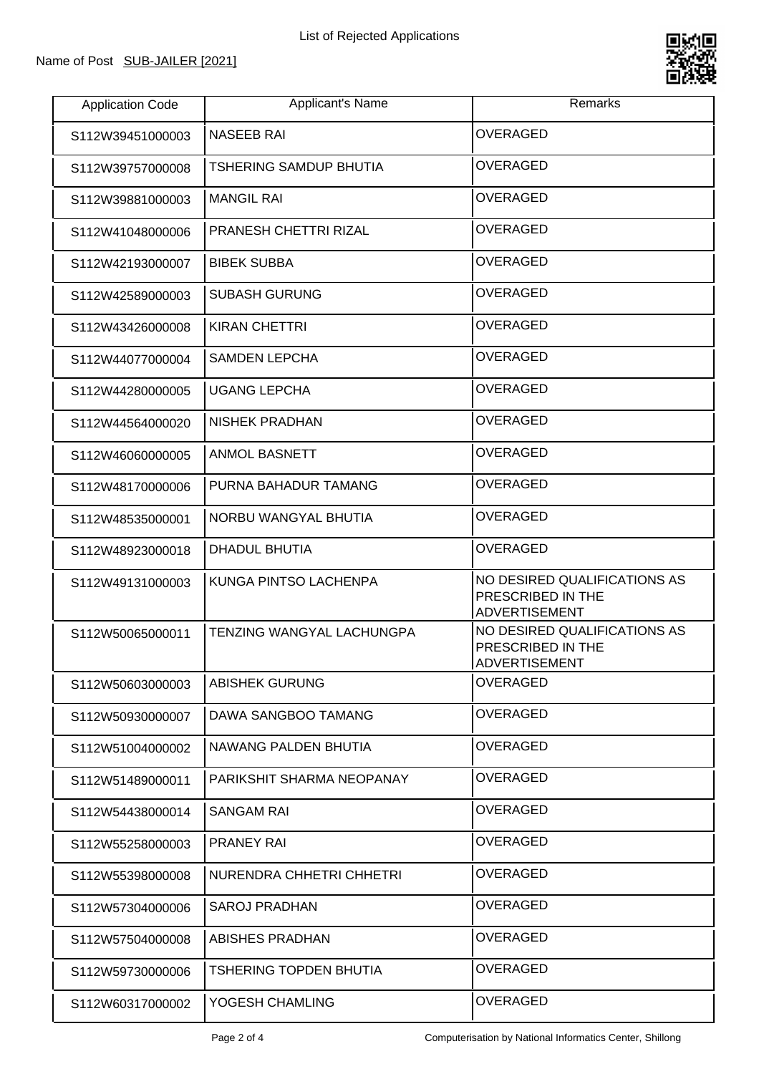

| <b>Application Code</b> | Applicant's Name                 | Remarks                                                                   |
|-------------------------|----------------------------------|---------------------------------------------------------------------------|
| S112W39451000003        | <b>NASEEB RAI</b>                | <b>OVERAGED</b>                                                           |
| S112W39757000008        | <b>TSHERING SAMDUP BHUTIA</b>    | <b>OVERAGED</b>                                                           |
| S112W39881000003        | <b>MANGIL RAI</b>                | <b>OVERAGED</b>                                                           |
| S112W41048000006        | PRANESH CHETTRI RIZAL            | <b>OVERAGED</b>                                                           |
| S112W42193000007        | <b>BIBEK SUBBA</b>               | <b>OVERAGED</b>                                                           |
| S112W42589000003        | <b>SUBASH GURUNG</b>             | <b>OVERAGED</b>                                                           |
| S112W43426000008        | <b>KIRAN CHETTRI</b>             | <b>OVERAGED</b>                                                           |
| S112W44077000004        | <b>SAMDEN LEPCHA</b>             | <b>OVERAGED</b>                                                           |
| S112W44280000005        | <b>UGANG LEPCHA</b>              | <b>OVERAGED</b>                                                           |
| S112W44564000020        | <b>NISHEK PRADHAN</b>            | <b>OVERAGED</b>                                                           |
| S112W46060000005        | <b>ANMOL BASNETT</b>             | <b>OVERAGED</b>                                                           |
| S112W48170000006        | PURNA BAHADUR TAMANG             | <b>OVERAGED</b>                                                           |
| S112W48535000001        | NORBU WANGYAL BHUTIA             | <b>OVERAGED</b>                                                           |
| S112W48923000018        | DHADUL BHUTIA                    | <b>OVERAGED</b>                                                           |
| S112W49131000003        | KUNGA PINTSO LACHENPA            | NO DESIRED QUALIFICATIONS AS<br>PRESCRIBED IN THE<br><b>ADVERTISEMENT</b> |
| S112W50065000011        | <b>TENZING WANGYAL LACHUNGPA</b> | NO DESIRED QUALIFICATIONS AS<br>PRESCRIBED IN THE<br>ADVERTISEMENT        |
| S112W50603000003        | ABISHEK GURUNG                   | <b>OVERAGED</b>                                                           |
| S112W50930000007        | DAWA SANGBOO TAMANG              | <b>OVERAGED</b>                                                           |
| S112W51004000002        | NAWANG PALDEN BHUTIA             | <b>OVERAGED</b>                                                           |
| S112W51489000011        | PARIKSHIT SHARMA NEOPANAY        | OVERAGED                                                                  |
| S112W54438000014        | <b>SANGAM RAI</b>                | OVERAGED                                                                  |
| S112W55258000003        | <b>PRANEY RAI</b>                | <b>OVERAGED</b>                                                           |
| S112W55398000008        | NURENDRA CHHETRI CHHETRI         | <b>OVERAGED</b>                                                           |
| S112W57304000006        | <b>SAROJ PRADHAN</b>             | OVERAGED                                                                  |
| S112W57504000008        | ABISHES PRADHAN                  | OVERAGED                                                                  |
| S112W59730000006        | TSHERING TOPDEN BHUTIA           | <b>OVERAGED</b>                                                           |
| S112W60317000002        | YOGESH CHAMLING                  | OVERAGED                                                                  |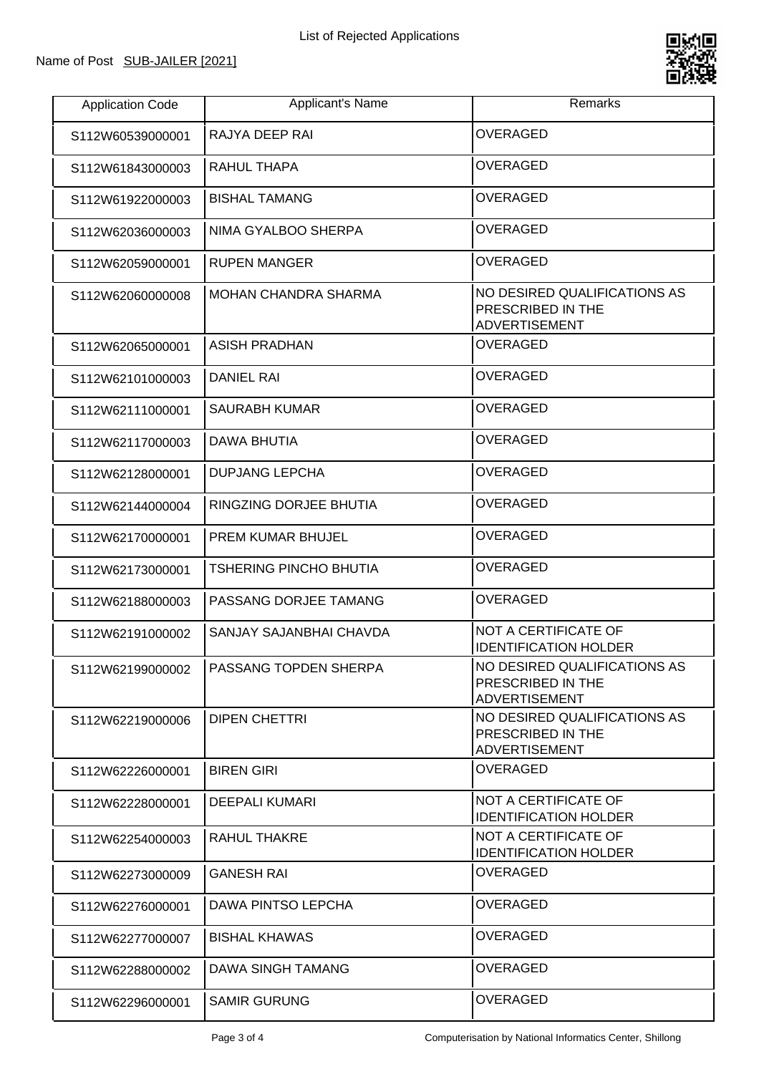

| <b>Application Code</b> | Applicant's Name                         | Remarks                                                                   |
|-------------------------|------------------------------------------|---------------------------------------------------------------------------|
| S112W60539000001        | RAJYA DEEP RAI                           | <b>OVERAGED</b>                                                           |
| S112W61843000003        | RAHUL THAPA                              | OVERAGED                                                                  |
| S112W61922000003        | <b>BISHAL TAMANG</b>                     | <b>OVERAGED</b>                                                           |
| S112W62036000003        | NIMA GYALBOO SHERPA                      | <b>OVERAGED</b>                                                           |
| S112W62059000001        | <b>RUPEN MANGER</b>                      | <b>OVERAGED</b>                                                           |
| S112W62060000008        | MOHAN CHANDRA SHARMA                     | NO DESIRED QUALIFICATIONS AS<br>PRESCRIBED IN THE<br><b>ADVERTISEMENT</b> |
| S112W62065000001        | <b>ASISH PRADHAN</b>                     | <b>OVERAGED</b>                                                           |
| S112W62101000003        | <b>DANIEL RAI</b>                        | <b>OVERAGED</b>                                                           |
| S112W62111000001        | <b>SAURABH KUMAR</b>                     | <b>OVERAGED</b>                                                           |
| S112W62117000003        | DAWA BHUTIA                              | <b>OVERAGED</b>                                                           |
| S112W62128000001        | <b>DUPJANG LEPCHA</b>                    | <b>OVERAGED</b>                                                           |
| S112W62144000004        | RINGZING DORJEE BHUTIA                   | <b>OVERAGED</b>                                                           |
| S112W62170000001        | <b>PREM KUMAR BHUJEL</b>                 | <b>OVERAGED</b>                                                           |
| S112W62173000001        | <b>TSHERING PINCHO BHUTIA</b>            | <b>OVERAGED</b>                                                           |
| S112W62188000003        | PASSANG DORJEE TAMANG                    | <b>OVERAGED</b>                                                           |
| S112W62191000002        | SANJAY SAJANBHAI CHAVDA                  | NOT A CERTIFICATE OF<br><b>IDENTIFICATION HOLDER</b>                      |
|                         | S112W62199000002   PASSANG TOPDEN SHERPA | NO DESIRED QUALIFICATIONS AS<br>PRESCRIBED IN THE<br><b>ADVERTISEMENT</b> |
| S112W62219000006        | <b>DIPEN CHETTRI</b>                     | NO DESIRED QUALIFICATIONS AS<br>PRESCRIBED IN THE<br><b>ADVERTISEMENT</b> |
| S112W62226000001        | <b>BIREN GIRI</b>                        | <b>OVERAGED</b>                                                           |
| S112W62228000001        | <b>DEEPALI KUMARI</b>                    | NOT A CERTIFICATE OF<br><b>IDENTIFICATION HOLDER</b>                      |
| S112W62254000003        | RAHUL THAKRE                             | NOT A CERTIFICATE OF<br><b>IDENTIFICATION HOLDER</b>                      |
| S112W62273000009        | <b>GANESH RAI</b>                        | <b>OVERAGED</b>                                                           |
| S112W62276000001        | DAWA PINTSO LEPCHA                       | <b>OVERAGED</b>                                                           |
| S112W62277000007        | <b>BISHAL KHAWAS</b>                     | OVERAGED                                                                  |
| S112W62288000002        | DAWA SINGH TAMANG                        | <b>OVERAGED</b>                                                           |
| S112W62296000001        | <b>SAMIR GURUNG</b>                      | <b>OVERAGED</b>                                                           |